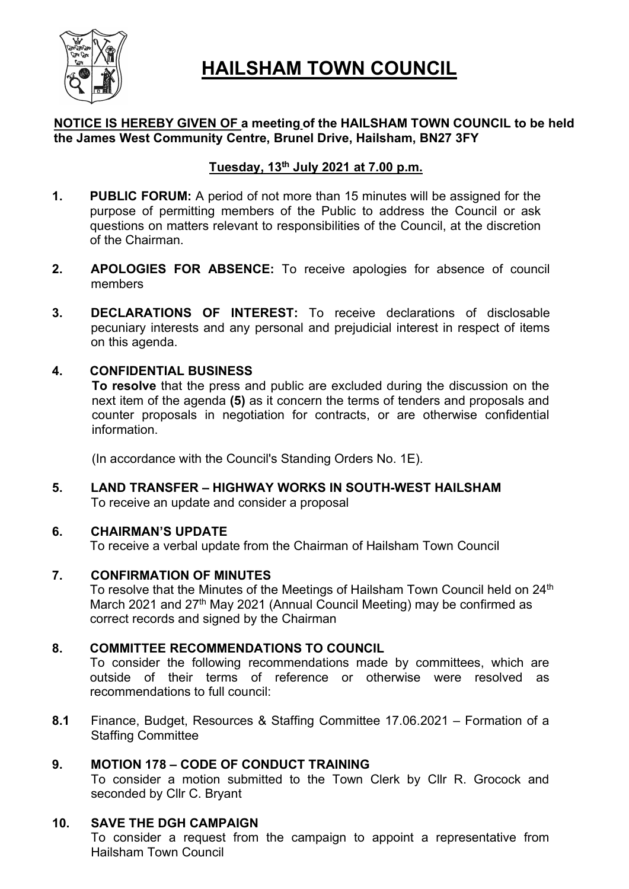

# HAILSHAM TOWN COUNCIL

# NOTICE IS HEREBY GIVEN OF a meeting of the HAILSHAM TOWN COUNCIL to be held the James West Community Centre, Brunel Drive, Hailsham, BN27 3FY

# Tuesday,  $13<sup>th</sup>$  July 2021 at 7.00 p.m.

- 1. PUBLIC FORUM: A period of not more than 15 minutes will be assigned for the purpose of permitting members of the Public to address the Council or ask questions on matters relevant to responsibilities of the Council, at the discretion of the Chairman.
- 2. APOLOGIES FOR ABSENCE: To receive apologies for absence of council members
- 3. DECLARATIONS OF INTEREST: To receive declarations of disclosable pecuniary interests and any personal and prejudicial interest in respect of items on this agenda.

## 4. CONFIDENTIAL BUSINESS

To resolve that the press and public are excluded during the discussion on the next item of the agenda (5) as it concern the terms of tenders and proposals and counter proposals in negotiation for contracts, or are otherwise confidential information.

(In accordance with the Council's Standing Orders No. 1E).

5. LAND TRANSFER – HIGHWAY WORKS IN SOUTH-WEST HAILSHAM To receive an update and consider a proposal

## 6. CHAIRMAN'S UPDATE

To receive a verbal update from the Chairman of Hailsham Town Council

## 7. CONFIRMATION OF MINUTES

To resolve that the Minutes of the Meetings of Hailsham Town Council held on 24<sup>th</sup> March 2021 and 27<sup>th</sup> May 2021 (Annual Council Meeting) may be confirmed as correct records and signed by the Chairman

# 8. COMMITTEE RECOMMENDATIONS TO COUNCIL

To consider the following recommendations made by committees, which are outside of their terms of reference or otherwise were resolved as recommendations to full council:

8.1 Finance, Budget, Resources & Staffing Committee 17.06.2021 – Formation of a Staffing Committee

# 9. MOTION 178 – CODE OF CONDUCT TRAINING

To consider a motion submitted to the Town Clerk by Cllr R. Grocock and seconded by Cllr C. Bryant

# 10. SAVE THE DGH CAMPAIGN

To consider a request from the campaign to appoint a representative from Hailsham Town Council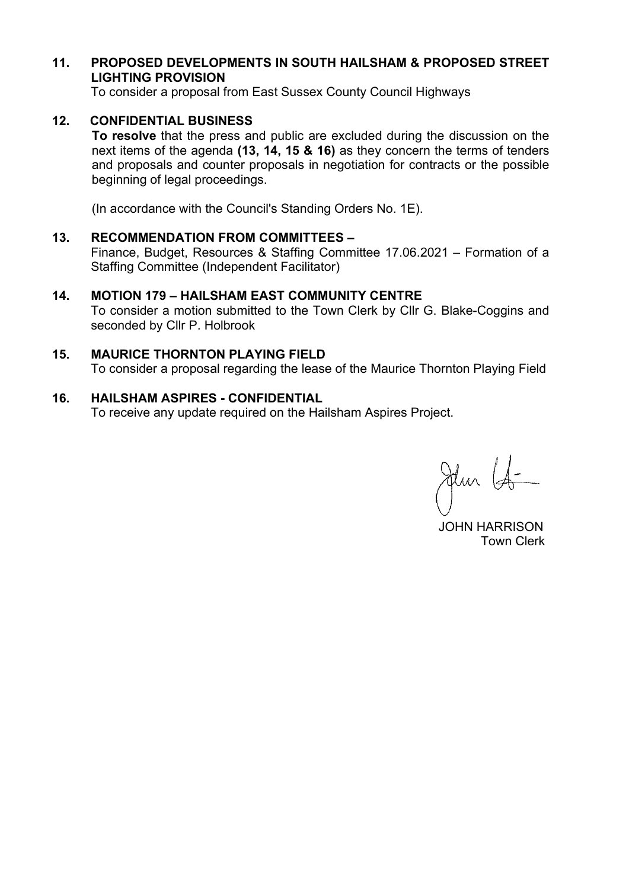# 11. PROPOSED DEVELOPMENTS IN SOUTH HAILSHAM & PROPOSED STREET LIGHTING PROVISION

To consider a proposal from East Sussex County Council Highways

## 12. CONFIDENTIAL BUSINESS

To resolve that the press and public are excluded during the discussion on the next items of the agenda (13, 14, 15 & 16) as they concern the terms of tenders and proposals and counter proposals in negotiation for contracts or the possible beginning of legal proceedings.

(In accordance with the Council's Standing Orders No. 1E).

#### 13. RECOMMENDATION FROM COMMITTEES –

Finance, Budget, Resources & Staffing Committee 17.06.2021 – Formation of a Staffing Committee (Independent Facilitator)

#### 14. MOTION 179 – HAILSHAM EAST COMMUNITY CENTRE

To consider a motion submitted to the Town Clerk by Cllr G. Blake-Coggins and seconded by Cllr P. Holbrook

## 15. MAURICE THORNTON PLAYING FIELD

To consider a proposal regarding the lease of the Maurice Thornton Playing Field

#### 16. HAILSHAM ASPIRES - CONFIDENTIAL

To receive any update required on the Hailsham Aspires Project.

Jehn Lo

 JOHN HARRISON Town Clerk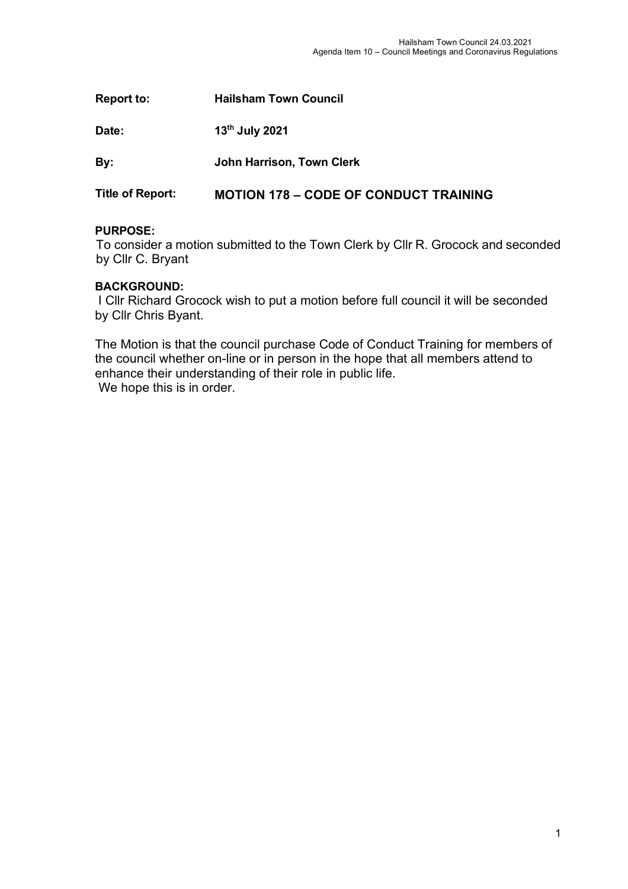| <b>Report to:</b>       | <b>Hailsham Town Council</b>                 |
|-------------------------|----------------------------------------------|
| Date:                   | 13th July 2021                               |
| By:                     | John Harrison, Town Clerk                    |
| <b>Title of Report:</b> | <b>MOTION 178 – CODE OF CONDUCT TRAINING</b> |

## **PURPOSE:**

To consider a motion submitted to the Town Clerk by Cllr R. Grocock and seconded by Cllr C. Bryant

## **BACKGROUND:**

I Cllr Richard Grocock wish to put a motion before full council it will be seconded by Cllr Chris Byant.

The Motion is that the council purchase Code of Conduct Training for members of the council whether on-line or in person in the hope that all members attend to enhance their understanding of their role in public life. We hope this is in order.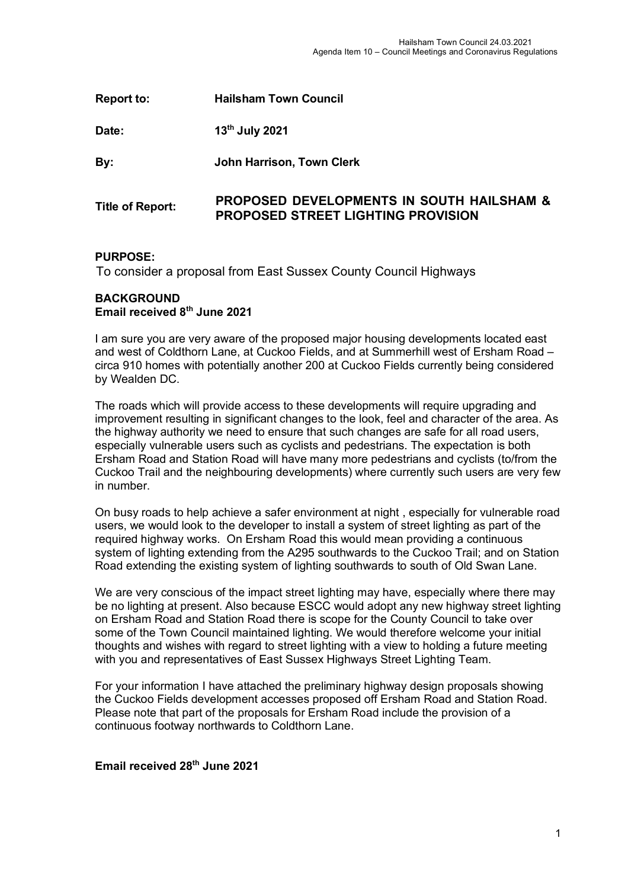| <b>Report to:</b>       | <b>Hailsham Town Council</b>                                                                      |
|-------------------------|---------------------------------------------------------------------------------------------------|
| Date:                   | 13th July 2021                                                                                    |
| By:                     | <b>John Harrison, Town Clerk</b>                                                                  |
| <b>Title of Report:</b> | <b>PROPOSED DEVELOPMENTS IN SOUTH HAILSHAM &amp;</b><br><b>PROPOSED STREET LIGHTING PROVISION</b> |

#### **PURPOSE:**

To consider a proposal from East Sussex County Council Highways

#### **BACKGROUND Email received 8th June 2021**

I am sure you are very aware of the proposed major housing developments located east and west of Coldthorn Lane, at Cuckoo Fields, and at Summerhill west of Ersham Road – circa 910 homes with potentially another 200 at Cuckoo Fields currently being considered by Wealden DC.

The roads which will provide access to these developments will require upgrading and improvement resulting in significant changes to the look, feel and character of the area. As the highway authority we need to ensure that such changes are safe for all road users, especially vulnerable users such as cyclists and pedestrians. The expectation is both Ersham Road and Station Road will have many more pedestrians and cyclists (to/from the Cuckoo Trail and the neighbouring developments) where currently such users are very few in number.

On busy roads to help achieve a safer environment at night , especially for vulnerable road users, we would look to the developer to install a system of street lighting as part of the required highway works. On Ersham Road this would mean providing a continuous system of lighting extending from the A295 southwards to the Cuckoo Trail; and on Station Road extending the existing system of lighting southwards to south of Old Swan Lane.

We are very conscious of the impact street lighting may have, especially where there may be no lighting at present. Also because ESCC would adopt any new highway street lighting on Ersham Road and Station Road there is scope for the County Council to take over some of the Town Council maintained lighting. We would therefore welcome your initial thoughts and wishes with regard to street lighting with a view to holding a future meeting with you and representatives of East Sussex Highways Street Lighting Team.

For your information I have attached the preliminary highway design proposals showing the Cuckoo Fields development accesses proposed off Ersham Road and Station Road. Please note that part of the proposals for Ersham Road include the provision of a continuous footway northwards to Coldthorn Lane.

# **Email received 28th June 2021**